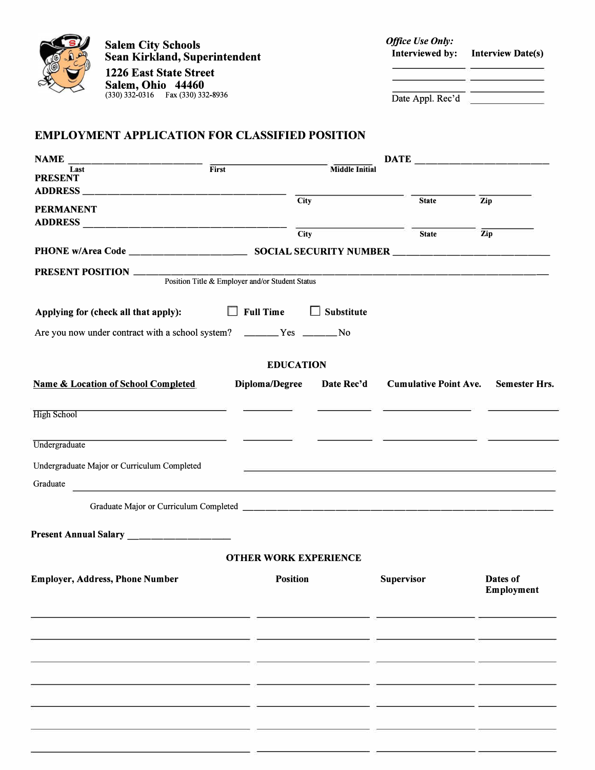

**Salem City Schools Sean Kirkland, Superintendent**

**1226 East State Street Salem, Ohio 44460**  (330) 332-0316 Fax (330) 332-8936

| <b>Office Use Only:</b> |                   |
|-------------------------|-------------------|
| Interviewed by:         | Interview Date(s) |
|                         |                   |
|                         |                   |

Date Appl. Rec'd

## **EMPLOYMENT APPLICATION FOR CLASSIFIED POSITION**

| <b>NAME</b>                                                        |                                                 |                              |                              |                        |  |  |
|--------------------------------------------------------------------|-------------------------------------------------|------------------------------|------------------------------|------------------------|--|--|
| Last<br><b>PRESENT</b>                                             | First                                           | <b>Middle Initial</b>        |                              |                        |  |  |
|                                                                    |                                                 |                              |                              |                        |  |  |
| <b>PERMANENT</b>                                                   |                                                 | <b>City</b>                  | <b>State</b>                 | Zip                    |  |  |
|                                                                    |                                                 | <b>City</b>                  | <b>State</b>                 | Zip                    |  |  |
|                                                                    |                                                 |                              |                              |                        |  |  |
|                                                                    |                                                 |                              |                              |                        |  |  |
|                                                                    | Position Title & Employer and/or Student Status |                              |                              |                        |  |  |
| Applying for (check all that apply):                               | $\Box$ Full Time                                | $\Box$ Substitute            |                              |                        |  |  |
| Are you now under contract with a school system? ______Yes _____No |                                                 |                              |                              |                        |  |  |
|                                                                    |                                                 | <b>EDUCATION</b>             |                              |                        |  |  |
| <b>Name &amp; Location of School Completed</b>                     | Diploma/Degree                                  | Date Rec'd                   | <b>Cumulative Point Ave.</b> | <b>Semester Hrs.</b>   |  |  |
|                                                                    |                                                 |                              |                              |                        |  |  |
| <b>High School</b>                                                 |                                                 |                              |                              |                        |  |  |
| Undergraduate                                                      |                                                 |                              |                              |                        |  |  |
| Undergraduate Major or Curriculum Completed                        |                                                 |                              |                              |                        |  |  |
| Graduate                                                           |                                                 |                              |                              |                        |  |  |
| <u> 1980 - Johann Barbara, martin amerikan ba</u>                  |                                                 |                              |                              |                        |  |  |
|                                                                    |                                                 |                              |                              |                        |  |  |
| Present Annual Salary ________________                             |                                                 |                              |                              |                        |  |  |
|                                                                    |                                                 | <b>OTHER WORK EXPERIENCE</b> |                              |                        |  |  |
| <b>Employer, Address, Phone Number</b>                             |                                                 | <b>Position</b>              | <b>Supervisor</b>            | Dates of<br>Employment |  |  |
|                                                                    |                                                 |                              |                              |                        |  |  |
|                                                                    |                                                 |                              |                              |                        |  |  |
|                                                                    |                                                 |                              |                              |                        |  |  |
|                                                                    |                                                 |                              |                              |                        |  |  |
|                                                                    |                                                 |                              |                              |                        |  |  |
|                                                                    |                                                 |                              |                              |                        |  |  |
|                                                                    |                                                 |                              |                              |                        |  |  |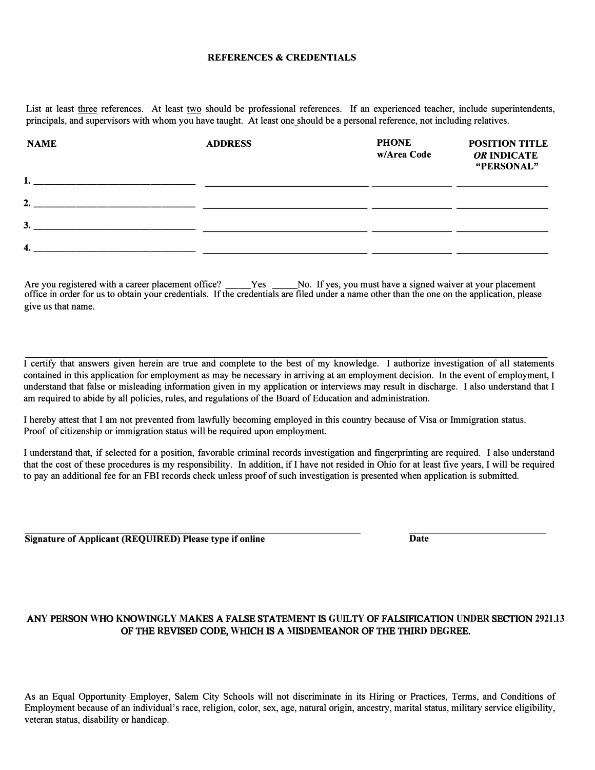## **REFERENCES & CREDENTIALS**

List at least three references. At least two should be professional references. If an experienced teacher, include superintendents, principals, and supervisors with whom you have taught. At least one should be a personal reference, not including relatives.

| <b>NAME</b>                                                                                                           | <b>ADDRESS</b> | <b>PHONE</b><br>w/Area Code | <b>POSITION TITLE</b><br>OR INDICATE<br>"PERSONAL" |
|-----------------------------------------------------------------------------------------------------------------------|----------------|-----------------------------|----------------------------------------------------|
| 1.                                                                                                                    |                |                             |                                                    |
| 2.<br><u> 1980 - Andrea Andrew Maria (h. 1980).</u>                                                                   |                |                             |                                                    |
| 3.<br>the contract of the contract of the contract of the contract of the contract of the contract of the contract of |                |                             |                                                    |
| 4.                                                                                                                    |                |                             |                                                    |

Are you registered with a career placement office? \_\_\_\_Yes \_\_\_\_No. If yes, you must have a signed waiver at your placement office in order for us to obtain your credentials. If the credentials are filed under a name other than the one on the application, please give us that name.

I certify that answers given herein are true and complete to the best of my knowledge. I authorize investigation of all statements contained in this application for employment as may be necessary in arriving at an employment decision. In the event of employment, I understand that false or misleading information given in my application or interviews may result in discharge. I also understand that I am required to abide by all policies, rules, and regulations of the Board of Education and administration.

I hereby attest that I am not prevented from lawfully becoming employed in this country because ofVisa or Immigration status. Proof of citizenship or immigration status will be required upon employment.

I understand that, if selected for a position, favorable criminal records investigation and fingerprinting are required. I also understand that the cost ofthese procedures is my responsibility. In addition, ifl have not resided in Ohio for at least five years, I will be required to pay an additional fee for an FBI records check unless proof of such investigation is presented when application is submitted.

**Signature of Applicant (REQUIRED) Please type if online Date** 

## AN**Y** PE**R**SON **W**HO **K**NO**W**IN**G**L**Y M**A**K**ES A FALSE STATE**M**ENT IS **GU**ILT**Y** OF FALSIFICATION **U**N**D**E**R** SECTION **2921**.**13** OF THE **R**EVISE**D** CO**D**E, **W**HICH IS A **M**IS**D**E**M**EANO**R** OF THE THI**RD D**E**GR**EE.

As an Equal Opportunity Employer, Salem City Schools will not discriminate in its Hiring or Practices, Terms, and Conditions of Employment because of an individual's race, religion, color, sex, age, natural origin, ancestry, marital status, military service eligibility, veteran status, disability or handicap.